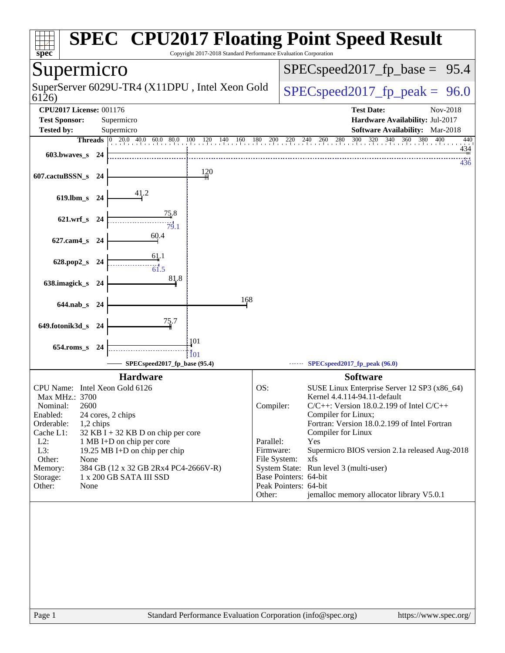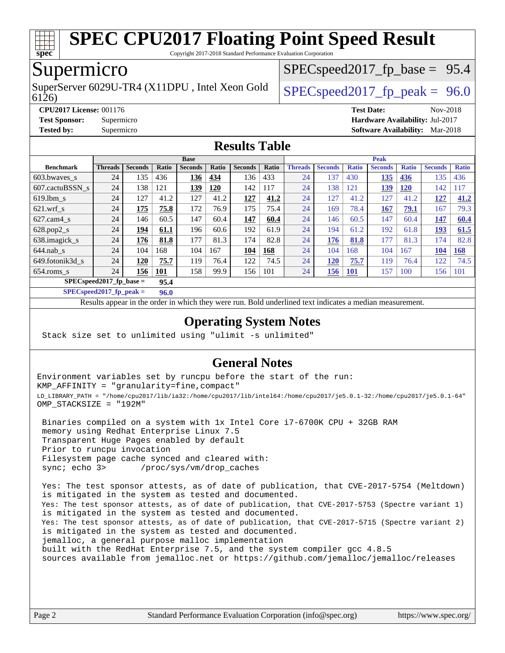

Copyright 2017-2018 Standard Performance Evaluation Corporation

## Supermicro

6126) SuperServer 6029U-TR4 (X11DPU, Intel Xeon Gold  $\big|$  SPECspeed 2017 fp\_peak = 96.0

 $SPECspeed2017_fp\_base = 95.4$ 

**[CPU2017 License:](http://www.spec.org/auto/cpu2017/Docs/result-fields.html#CPU2017License)** 001176 **[Test Date:](http://www.spec.org/auto/cpu2017/Docs/result-fields.html#TestDate)** Nov-2018

**[Test Sponsor:](http://www.spec.org/auto/cpu2017/Docs/result-fields.html#TestSponsor)** Supermicro **[Hardware Availability:](http://www.spec.org/auto/cpu2017/Docs/result-fields.html#HardwareAvailability)** Jul-2017

**[Tested by:](http://www.spec.org/auto/cpu2017/Docs/result-fields.html#Testedby)** Supermicro **[Software Availability:](http://www.spec.org/auto/cpu2017/Docs/result-fields.html#SoftwareAvailability)** Mar-2018

### **[Results Table](http://www.spec.org/auto/cpu2017/Docs/result-fields.html#ResultsTable)**

|                            | <b>Base</b>    |                |            |                | <b>Peak</b> |                |       |                |                |              |                |              |                |              |
|----------------------------|----------------|----------------|------------|----------------|-------------|----------------|-------|----------------|----------------|--------------|----------------|--------------|----------------|--------------|
| <b>Benchmark</b>           | <b>Threads</b> | <b>Seconds</b> | Ratio      | <b>Seconds</b> | Ratio       | <b>Seconds</b> | Ratio | <b>Threads</b> | <b>Seconds</b> | <b>Ratio</b> | <b>Seconds</b> | <b>Ratio</b> | <b>Seconds</b> | <b>Ratio</b> |
| 603.bwayes_s               | 24             | 135            | 436        | 136            | 434         | 136            | 433   | 24             | 137            | 430          | <u>135</u>     | 436          | 135            | 436          |
| 607.cactuBSSN s            | 24             | 138            | 121        | 139            | 120         | 142            | 117   | 24             | 138            | 121          | <u>139</u>     | <u>120</u>   | 142            | 17ء          |
| $619.$ lbm s               | 24             | 127            | 41.2       | 127            | 41.2        | 127            | 41.2  | 24             | 127            | 41.2         | 127            | 41.2         | 127            | 41.2         |
| $621$ .wrf s               | 24             | 175            | 75.8       | 172            | 76.9        | 175            | 75.4  | 24             | 169            | 78.4         | 167            | 79.1         | 167            | 79.3         |
| $627$ .cam4 s              | 24             | 146            | 60.5       | 147            | 60.4        | 147            | 60.4  | 24             | 146            | 60.5         | 147            | 60.4         | 147            | 60.4         |
| $628.pop2_s$               | 24             | 194            | 61.1       | 196            | 60.6        | 192            | 61.9  | 24             | 194            | 61.2         | 192            | 61.8         | 193            | 61.5         |
| 638.imagick_s              | 24             | 176            | 81.8       | 177            | 81.3        | 174            | 82.8  | 24             | 176            | 81.8         | 177            | 81.3         | 174            | 82.8         |
| $644$ .nab s               | 24             | 104            | 168        | 104            | 167         | 104            | 168   | 24             | 104            | 168          | 104            | 167          | 104            | 168          |
| 649.fotonik3d s            | 24             | 120            | 75.7       | 119            | 76.4        | 122            | 74.5  | 24             | <b>120</b>     | 75.7         | 119            | 76.4         | 122            | 74.5         |
| $654$ .roms s              | 24             | 156            | <u>101</u> | 158            | 99.9        | 156            | 101   | 24             | 156            | <u>101</u>   | 157            | 100          | 156            | 101          |
| $SPEC speed2017$ fp base = |                |                | 95.4       |                |             |                |       |                |                |              |                |              |                |              |

**[SPECspeed2017\\_fp\\_peak =](http://www.spec.org/auto/cpu2017/Docs/result-fields.html#SPECspeed2017fppeak) 96.0**

Results appear in the [order in which they were run.](http://www.spec.org/auto/cpu2017/Docs/result-fields.html#RunOrder) Bold underlined text [indicates a median measurement](http://www.spec.org/auto/cpu2017/Docs/result-fields.html#Median).

#### **[Operating System Notes](http://www.spec.org/auto/cpu2017/Docs/result-fields.html#OperatingSystemNotes)**

Stack size set to unlimited using "ulimit -s unlimited"

### **[General Notes](http://www.spec.org/auto/cpu2017/Docs/result-fields.html#GeneralNotes)**

Environment variables set by runcpu before the start of the run: KMP\_AFFINITY = "granularity=fine,compact" LD\_LIBRARY\_PATH = "/home/cpu2017/lib/ia32:/home/cpu2017/lib/intel64:/home/cpu2017/je5.0.1-32:/home/cpu2017/je5.0.1-64" OMP\_STACKSIZE = "192M"

 Binaries compiled on a system with 1x Intel Core i7-6700K CPU + 32GB RAM memory using Redhat Enterprise Linux 7.5 Transparent Huge Pages enabled by default Prior to runcpu invocation Filesystem page cache synced and cleared with: sync; echo 3> /proc/sys/vm/drop\_caches

 Yes: The test sponsor attests, as of date of publication, that CVE-2017-5754 (Meltdown) is mitigated in the system as tested and documented. Yes: The test sponsor attests, as of date of publication, that CVE-2017-5753 (Spectre variant 1) is mitigated in the system as tested and documented. Yes: The test sponsor attests, as of date of publication, that CVE-2017-5715 (Spectre variant 2) is mitigated in the system as tested and documented. jemalloc, a general purpose malloc implementation built with the RedHat Enterprise 7.5, and the system compiler gcc 4.8.5 sources available from jemalloc.net or <https://github.com/jemalloc/jemalloc/releases>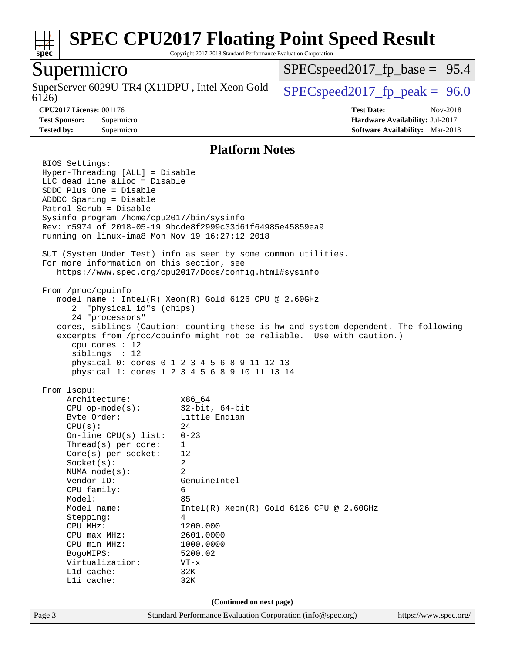

Copyright 2017-2018 Standard Performance Evaluation Corporation

### Supermicro

6126) SuperServer 6029U-TR4 (X11DPU, Intel Xeon Gold  $\big|$  [SPECspeed2017\\_fp\\_peak =](http://www.spec.org/auto/cpu2017/Docs/result-fields.html#SPECspeed2017fppeak) 96.0

 $SPECspeed2017_fp\_base = 95.4$ 

**[CPU2017 License:](http://www.spec.org/auto/cpu2017/Docs/result-fields.html#CPU2017License)** 001176 **[Test Date:](http://www.spec.org/auto/cpu2017/Docs/result-fields.html#TestDate)** Nov-2018 **[Test Sponsor:](http://www.spec.org/auto/cpu2017/Docs/result-fields.html#TestSponsor)** Supermicro **[Hardware Availability:](http://www.spec.org/auto/cpu2017/Docs/result-fields.html#HardwareAvailability)** Jul-2017 **[Tested by:](http://www.spec.org/auto/cpu2017/Docs/result-fields.html#Testedby)** Supermicro **[Software Availability:](http://www.spec.org/auto/cpu2017/Docs/result-fields.html#SoftwareAvailability)** Mar-2018

#### **[Platform Notes](http://www.spec.org/auto/cpu2017/Docs/result-fields.html#PlatformNotes)**

Page 3 Standard Performance Evaluation Corporation [\(info@spec.org\)](mailto:info@spec.org) <https://www.spec.org/> BIOS Settings: Hyper-Threading [ALL] = Disable LLC dead line alloc = Disable SDDC Plus One = Disable ADDDC Sparing = Disable Patrol Scrub = Disable Sysinfo program /home/cpu2017/bin/sysinfo Rev: r5974 of 2018-05-19 9bcde8f2999c33d61f64985e45859ea9 running on linux-ima8 Mon Nov 19 16:27:12 2018 SUT (System Under Test) info as seen by some common utilities. For more information on this section, see <https://www.spec.org/cpu2017/Docs/config.html#sysinfo> From /proc/cpuinfo model name : Intel(R) Xeon(R) Gold 6126 CPU @ 2.60GHz 2 "physical id"s (chips) 24 "processors" cores, siblings (Caution: counting these is hw and system dependent. The following excerpts from /proc/cpuinfo might not be reliable. Use with caution.) cpu cores : 12 siblings : 12 physical 0: cores 0 1 2 3 4 5 6 8 9 11 12 13 physical 1: cores 1 2 3 4 5 6 8 9 10 11 13 14 From lscpu: Architecture: x86\_64 CPU op-mode(s): 32-bit, 64-bit Byte Order: Little Endian  $CPU(s):$  24 On-line CPU(s) list: 0-23 Thread(s) per core: 1 Core(s) per socket: 12 Socket(s): 2 NUMA node(s): 2 Vendor ID: GenuineIntel CPU family: 6 Model: 85 Model name: Intel(R) Xeon(R) Gold 6126 CPU @ 2.60GHz Stepping: 4 CPU MHz: 1200.000 CPU max MHz: 2601.0000 CPU min MHz: 1000.0000 BogoMIPS: 5200.02 Virtualization: VT-x L1d cache: 32K L1i cache: 32K **(Continued on next page)**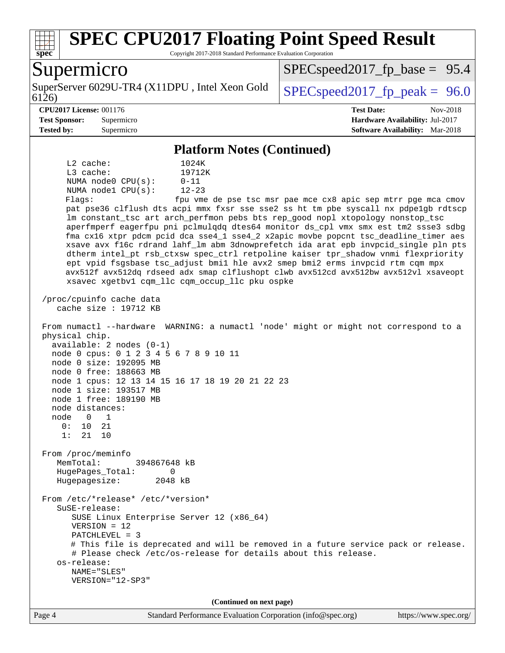

Copyright 2017-2018 Standard Performance Evaluation Corporation

### Supermicro

6126) SuperServer 6029U-TR4 (X11DPU, Intel Xeon Gold  $\big|$  SPECspeed 2017 fp\_peak = 96.0

 $SPECspeed2017_fp\_base = 95.4$ 

#### **[CPU2017 License:](http://www.spec.org/auto/cpu2017/Docs/result-fields.html#CPU2017License)** 001176 **[Test Date:](http://www.spec.org/auto/cpu2017/Docs/result-fields.html#TestDate)** Nov-2018

**[Test Sponsor:](http://www.spec.org/auto/cpu2017/Docs/result-fields.html#TestSponsor)** Supermicro **[Hardware Availability:](http://www.spec.org/auto/cpu2017/Docs/result-fields.html#HardwareAvailability)** Jul-2017 **[Tested by:](http://www.spec.org/auto/cpu2017/Docs/result-fields.html#Testedby)** Supermicro **[Software Availability:](http://www.spec.org/auto/cpu2017/Docs/result-fields.html#SoftwareAvailability)** Mar-2018

#### **[Platform Notes \(Continued\)](http://www.spec.org/auto/cpu2017/Docs/result-fields.html#PlatformNotes)**

 L2 cache: 1024K L3 cache: 19712K NUMA node0 CPU(s): 0-11 NUMA node1 CPU(s): 12-23 Flags: fpu vme de pse tsc msr pae mce cx8 apic sep mtrr pge mca cmov pat pse36 clflush dts acpi mmx fxsr sse sse2 ss ht tm pbe syscall nx pdpe1gb rdtscp lm constant\_tsc art arch\_perfmon pebs bts rep\_good nopl xtopology nonstop\_tsc aperfmperf eagerfpu pni pclmulqdq dtes64 monitor ds\_cpl vmx smx est tm2 ssse3 sdbg fma cx16 xtpr pdcm pcid dca sse4\_1 sse4\_2 x2apic movbe popcnt tsc\_deadline\_timer aes xsave avx f16c rdrand lahf\_lm abm 3dnowprefetch ida arat epb invpcid\_single pln pts dtherm intel\_pt rsb\_ctxsw spec\_ctrl retpoline kaiser tpr\_shadow vnmi flexpriority ept vpid fsgsbase tsc\_adjust bmi1 hle avx2 smep bmi2 erms invpcid rtm cqm mpx avx512f avx512dq rdseed adx smap clflushopt clwb avx512cd avx512bw avx512vl xsaveopt xsavec xgetbv1 cqm\_llc cqm\_occup\_llc pku ospke /proc/cpuinfo cache data cache size : 19712 KB

 From numactl --hardware WARNING: a numactl 'node' might or might not correspond to a physical chip. available: 2 nodes (0-1) node 0 cpus: 0 1 2 3 4 5 6 7 8 9 10 11 node 0 size: 192095 MB node 0 free: 188663 MB node 1 cpus: 12 13 14 15 16 17 18 19 20 21 22 23

 node 1 size: 193517 MB node 1 free: 189190 MB node distances:

 node 0 1 0: 10 21 1: 21 10

 From /proc/meminfo MemTotal: 394867648 kB HugePages\_Total: 0 Hugepagesize: 2048 kB

 From /etc/\*release\* /etc/\*version\* SuSE-release: SUSE Linux Enterprise Server 12 (x86\_64) VERSION = 12 PATCHLEVEL = 3 # This file is deprecated and will be removed in a future service pack or release. # Please check /etc/os-release for details about this release. os-release: NAME="SLES" VERSION="12-SP3"

**(Continued on next page)**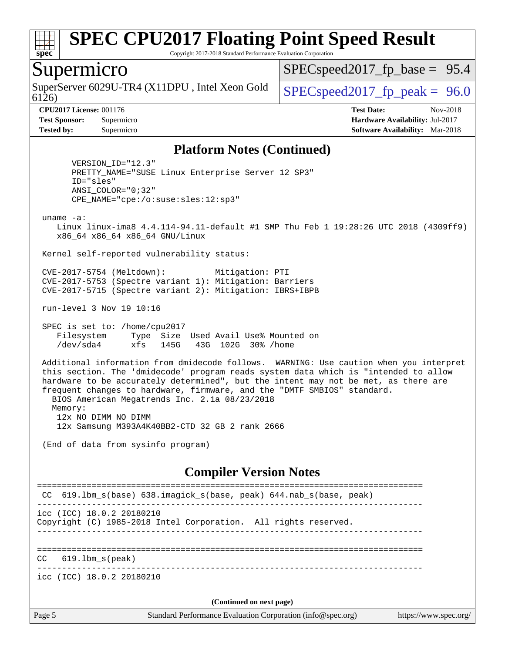

Copyright 2017-2018 Standard Performance Evaluation Corporation

### Supermicro

SuperServer 6029U-TR4 (X11DPU, Intel Xeon Gold  $\big|$  [SPECspeed2017\\_fp\\_peak =](http://www.spec.org/auto/cpu2017/Docs/result-fields.html#SPECspeed2017fppeak) 96.0

 $SPECspeed2017_fp\_base = 95.4$ 

6126)

**[CPU2017 License:](http://www.spec.org/auto/cpu2017/Docs/result-fields.html#CPU2017License)** 001176 **[Test Date:](http://www.spec.org/auto/cpu2017/Docs/result-fields.html#TestDate)** Nov-2018 **[Test Sponsor:](http://www.spec.org/auto/cpu2017/Docs/result-fields.html#TestSponsor)** Supermicro **[Hardware Availability:](http://www.spec.org/auto/cpu2017/Docs/result-fields.html#HardwareAvailability)** Jul-2017 **[Tested by:](http://www.spec.org/auto/cpu2017/Docs/result-fields.html#Testedby)** Supermicro **[Software Availability:](http://www.spec.org/auto/cpu2017/Docs/result-fields.html#SoftwareAvailability)** Mar-2018

#### **[Platform Notes \(Continued\)](http://www.spec.org/auto/cpu2017/Docs/result-fields.html#PlatformNotes)**

 VERSION\_ID="12.3" PRETTY\_NAME="SUSE Linux Enterprise Server 12 SP3" ID="sles" ANSI\_COLOR="0;32" CPE\_NAME="cpe:/o:suse:sles:12:sp3"

uname -a:

 Linux linux-ima8 4.4.114-94.11-default #1 SMP Thu Feb 1 19:28:26 UTC 2018 (4309ff9) x86\_64 x86\_64 x86\_64 GNU/Linux

Kernel self-reported vulnerability status:

 CVE-2017-5754 (Meltdown): Mitigation: PTI CVE-2017-5753 (Spectre variant 1): Mitigation: Barriers CVE-2017-5715 (Spectre variant 2): Mitigation: IBRS+IBPB

run-level 3 Nov 19 10:16

 SPEC is set to: /home/cpu2017 Filesystem Type Size Used Avail Use% Mounted on /dev/sda4 xfs 145G 43G 102G 30% /home

 Additional information from dmidecode follows. WARNING: Use caution when you interpret this section. The 'dmidecode' program reads system data which is "intended to allow hardware to be accurately determined", but the intent may not be met, as there are frequent changes to hardware, firmware, and the "DMTF SMBIOS" standard. BIOS American Megatrends Inc. 2.1a 08/23/2018 Memory: 12x NO DIMM NO DIMM

12x Samsung M393A4K40BB2-CTD 32 GB 2 rank 2666

(End of data from sysinfo program)

#### **[Compiler Version Notes](http://www.spec.org/auto/cpu2017/Docs/result-fields.html#CompilerVersionNotes)**

Page 5 Standard Performance Evaluation Corporation [\(info@spec.org\)](mailto:info@spec.org) <https://www.spec.org/> ============================================================================== CC 619.1bm s(base) 638.imagick s(base, peak) 644.nab s(base, peak) ----------------------------------------------------------------------------- icc (ICC) 18.0.2 20180210 Copyright (C) 1985-2018 Intel Corporation. All rights reserved. ------------------------------------------------------------------------------ ============================================================================== CC 619.lbm\_s(peak) ----------------------------------------------------------------------------- icc (ICC) 18.0.2 20180210 **(Continued on next page)**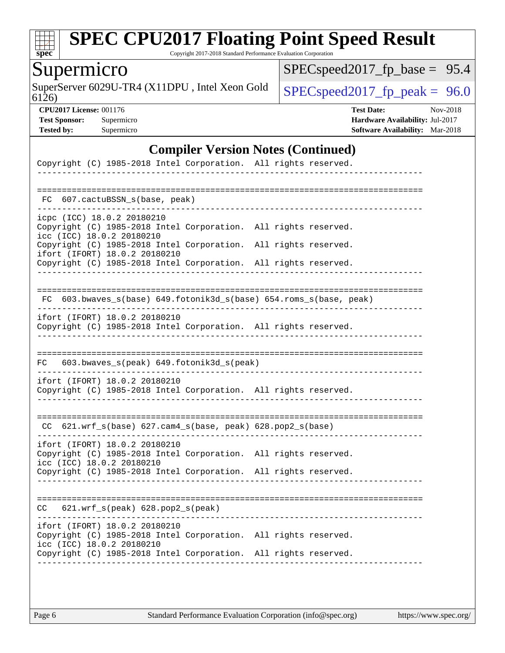

Copyright 2017-2018 Standard Performance Evaluation Corporation

## Supermicro

SuperServer 6029U-TR4 (X11DPU, Intel Xeon Gold  $\big|$  [SPECspeed2017\\_fp\\_peak =](http://www.spec.org/auto/cpu2017/Docs/result-fields.html#SPECspeed2017fppeak) 96.0

[SPECspeed2017\\_fp\\_base =](http://www.spec.org/auto/cpu2017/Docs/result-fields.html#SPECspeed2017fpbase) 95.4

6126)

**[CPU2017 License:](http://www.spec.org/auto/cpu2017/Docs/result-fields.html#CPU2017License)** 001176 **[Test Date:](http://www.spec.org/auto/cpu2017/Docs/result-fields.html#TestDate)** Nov-2018 **[Test Sponsor:](http://www.spec.org/auto/cpu2017/Docs/result-fields.html#TestSponsor)** Supermicro **[Hardware Availability:](http://www.spec.org/auto/cpu2017/Docs/result-fields.html#HardwareAvailability)** Jul-2017 **[Tested by:](http://www.spec.org/auto/cpu2017/Docs/result-fields.html#Testedby)** Supermicro **[Software Availability:](http://www.spec.org/auto/cpu2017/Docs/result-fields.html#SoftwareAvailability)** Mar-2018

#### **[Compiler Version Notes \(Continued\)](http://www.spec.org/auto/cpu2017/Docs/result-fields.html#CompilerVersionNotes)**

| Copyright (C) 1985-2018 Intel Corporation. All rights reserved.                                                               |                      |  |
|-------------------------------------------------------------------------------------------------------------------------------|----------------------|--|
|                                                                                                                               |                      |  |
| FC 607.cactuBSSN s(base, peak)                                                                                                |                      |  |
| icpc (ICC) 18.0.2 20180210<br>Copyright (C) 1985-2018 Intel Corporation.                                                      | All rights reserved. |  |
| icc (ICC) 18.0.2 20180210<br>Copyright (C) 1985-2018 Intel Corporation.<br>ifort (IFORT) 18.0.2 20180210                      | All rights reserved. |  |
| Copyright (C) 1985-2018 Intel Corporation.                                                                                    | All rights reserved. |  |
|                                                                                                                               |                      |  |
| FC 603.bwaves_s(base) 649.fotonik3d_s(base) 654.roms_s(base, peak)<br>.                                                       |                      |  |
| ifort (IFORT) 18.0.2 20180210<br>Copyright (C) 1985-2018 Intel Corporation. All rights reserved.                              |                      |  |
|                                                                                                                               |                      |  |
| 603.bwaves_s(peak) 649.fotonik3d_s(peak)<br>FC                                                                                |                      |  |
| ifort (IFORT) 18.0.2 20180210<br>Copyright (C) 1985-2018 Intel Corporation. All rights reserved.                              |                      |  |
| CC 621.wrf_s(base) 627.cam4_s(base, peak) 628.pop2_s(base)                                                                    |                      |  |
| ifort (IFORT) 18.0.2 20180210<br>Copyright (C) 1985-2018 Intel Corporation.<br>icc (ICC) 18.0.2 20180210                      | All rights reserved. |  |
| Copyright (C) 1985-2018 Intel Corporation. All rights reserved.                                                               |                      |  |
| 621.wrf_s(peak) 628.pop2_s(peak)<br>CC.                                                                                       |                      |  |
| ifort (IFORT) 18.0.2 20180210<br>Copyright (C) 1985-2018 Intel Corporation. All rights reserved.<br>icc (ICC) 18.0.2 20180210 |                      |  |
| Copyright (C) 1985-2018 Intel Corporation. All rights reserved.                                                               |                      |  |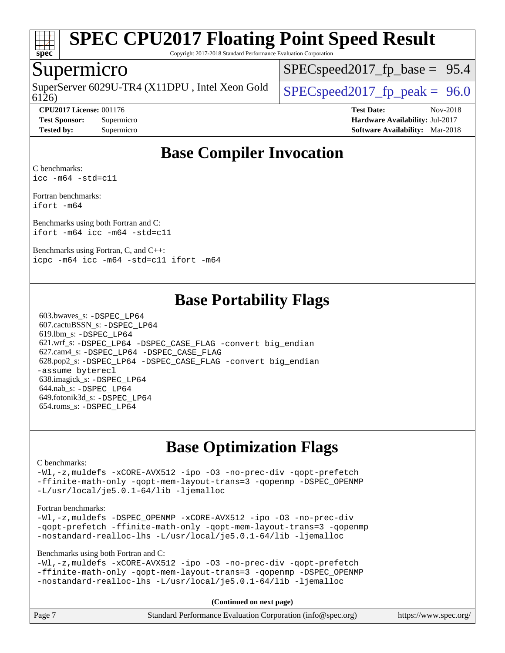

Copyright 2017-2018 Standard Performance Evaluation Corporation

### Supermicro

6126) SuperServer 6029U-TR4 (X11DPU, Intel Xeon Gold  $\big|$  SPECspeed 2017 fp\_peak = 96.0

 $SPECspeed2017_fp\_base = 95.4$ 

**[Test Sponsor:](http://www.spec.org/auto/cpu2017/Docs/result-fields.html#TestSponsor)** Supermicro **[Hardware Availability:](http://www.spec.org/auto/cpu2017/Docs/result-fields.html#HardwareAvailability)** Jul-2017 **[Tested by:](http://www.spec.org/auto/cpu2017/Docs/result-fields.html#Testedby)** Supermicro **[Software Availability:](http://www.spec.org/auto/cpu2017/Docs/result-fields.html#SoftwareAvailability)** Mar-2018

**[CPU2017 License:](http://www.spec.org/auto/cpu2017/Docs/result-fields.html#CPU2017License)** 001176 **[Test Date:](http://www.spec.org/auto/cpu2017/Docs/result-fields.html#TestDate)** Nov-2018

## **[Base Compiler Invocation](http://www.spec.org/auto/cpu2017/Docs/result-fields.html#BaseCompilerInvocation)**

[C benchmarks](http://www.spec.org/auto/cpu2017/Docs/result-fields.html#Cbenchmarks): [icc -m64 -std=c11](http://www.spec.org/cpu2017/results/res2018q4/cpu2017-20181127-09955.flags.html#user_CCbase_intel_icc_64bit_c11_33ee0cdaae7deeeab2a9725423ba97205ce30f63b9926c2519791662299b76a0318f32ddfffdc46587804de3178b4f9328c46fa7c2b0cd779d7a61945c91cd35)

[Fortran benchmarks](http://www.spec.org/auto/cpu2017/Docs/result-fields.html#Fortranbenchmarks): [ifort -m64](http://www.spec.org/cpu2017/results/res2018q4/cpu2017-20181127-09955.flags.html#user_FCbase_intel_ifort_64bit_24f2bb282fbaeffd6157abe4f878425411749daecae9a33200eee2bee2fe76f3b89351d69a8130dd5949958ce389cf37ff59a95e7a40d588e8d3a57e0c3fd751)

[Benchmarks using both Fortran and C](http://www.spec.org/auto/cpu2017/Docs/result-fields.html#BenchmarksusingbothFortranandC): [ifort -m64](http://www.spec.org/cpu2017/results/res2018q4/cpu2017-20181127-09955.flags.html#user_CC_FCbase_intel_ifort_64bit_24f2bb282fbaeffd6157abe4f878425411749daecae9a33200eee2bee2fe76f3b89351d69a8130dd5949958ce389cf37ff59a95e7a40d588e8d3a57e0c3fd751) [icc -m64 -std=c11](http://www.spec.org/cpu2017/results/res2018q4/cpu2017-20181127-09955.flags.html#user_CC_FCbase_intel_icc_64bit_c11_33ee0cdaae7deeeab2a9725423ba97205ce30f63b9926c2519791662299b76a0318f32ddfffdc46587804de3178b4f9328c46fa7c2b0cd779d7a61945c91cd35)

[Benchmarks using Fortran, C, and C++](http://www.spec.org/auto/cpu2017/Docs/result-fields.html#BenchmarksusingFortranCandCXX): [icpc -m64](http://www.spec.org/cpu2017/results/res2018q4/cpu2017-20181127-09955.flags.html#user_CC_CXX_FCbase_intel_icpc_64bit_4ecb2543ae3f1412ef961e0650ca070fec7b7afdcd6ed48761b84423119d1bf6bdf5cad15b44d48e7256388bc77273b966e5eb805aefd121eb22e9299b2ec9d9) [icc -m64 -std=c11](http://www.spec.org/cpu2017/results/res2018q4/cpu2017-20181127-09955.flags.html#user_CC_CXX_FCbase_intel_icc_64bit_c11_33ee0cdaae7deeeab2a9725423ba97205ce30f63b9926c2519791662299b76a0318f32ddfffdc46587804de3178b4f9328c46fa7c2b0cd779d7a61945c91cd35) [ifort -m64](http://www.spec.org/cpu2017/results/res2018q4/cpu2017-20181127-09955.flags.html#user_CC_CXX_FCbase_intel_ifort_64bit_24f2bb282fbaeffd6157abe4f878425411749daecae9a33200eee2bee2fe76f3b89351d69a8130dd5949958ce389cf37ff59a95e7a40d588e8d3a57e0c3fd751)

### **[Base Portability Flags](http://www.spec.org/auto/cpu2017/Docs/result-fields.html#BasePortabilityFlags)**

 603.bwaves\_s: [-DSPEC\\_LP64](http://www.spec.org/cpu2017/results/res2018q4/cpu2017-20181127-09955.flags.html#suite_basePORTABILITY603_bwaves_s_DSPEC_LP64) 607.cactuBSSN\_s: [-DSPEC\\_LP64](http://www.spec.org/cpu2017/results/res2018q4/cpu2017-20181127-09955.flags.html#suite_basePORTABILITY607_cactuBSSN_s_DSPEC_LP64) 619.lbm\_s: [-DSPEC\\_LP64](http://www.spec.org/cpu2017/results/res2018q4/cpu2017-20181127-09955.flags.html#suite_basePORTABILITY619_lbm_s_DSPEC_LP64) 621.wrf\_s: [-DSPEC\\_LP64](http://www.spec.org/cpu2017/results/res2018q4/cpu2017-20181127-09955.flags.html#suite_basePORTABILITY621_wrf_s_DSPEC_LP64) [-DSPEC\\_CASE\\_FLAG](http://www.spec.org/cpu2017/results/res2018q4/cpu2017-20181127-09955.flags.html#b621.wrf_s_baseCPORTABILITY_DSPEC_CASE_FLAG) [-convert big\\_endian](http://www.spec.org/cpu2017/results/res2018q4/cpu2017-20181127-09955.flags.html#user_baseFPORTABILITY621_wrf_s_convert_big_endian_c3194028bc08c63ac5d04de18c48ce6d347e4e562e8892b8bdbdc0214820426deb8554edfa529a3fb25a586e65a3d812c835984020483e7e73212c4d31a38223) 627.cam4\_s: [-DSPEC\\_LP64](http://www.spec.org/cpu2017/results/res2018q4/cpu2017-20181127-09955.flags.html#suite_basePORTABILITY627_cam4_s_DSPEC_LP64) [-DSPEC\\_CASE\\_FLAG](http://www.spec.org/cpu2017/results/res2018q4/cpu2017-20181127-09955.flags.html#b627.cam4_s_baseCPORTABILITY_DSPEC_CASE_FLAG) 628.pop2\_s: [-DSPEC\\_LP64](http://www.spec.org/cpu2017/results/res2018q4/cpu2017-20181127-09955.flags.html#suite_basePORTABILITY628_pop2_s_DSPEC_LP64) [-DSPEC\\_CASE\\_FLAG](http://www.spec.org/cpu2017/results/res2018q4/cpu2017-20181127-09955.flags.html#b628.pop2_s_baseCPORTABILITY_DSPEC_CASE_FLAG) [-convert big\\_endian](http://www.spec.org/cpu2017/results/res2018q4/cpu2017-20181127-09955.flags.html#user_baseFPORTABILITY628_pop2_s_convert_big_endian_c3194028bc08c63ac5d04de18c48ce6d347e4e562e8892b8bdbdc0214820426deb8554edfa529a3fb25a586e65a3d812c835984020483e7e73212c4d31a38223) [-assume byterecl](http://www.spec.org/cpu2017/results/res2018q4/cpu2017-20181127-09955.flags.html#user_baseFPORTABILITY628_pop2_s_assume_byterecl_7e47d18b9513cf18525430bbf0f2177aa9bf368bc7a059c09b2c06a34b53bd3447c950d3f8d6c70e3faf3a05c8557d66a5798b567902e8849adc142926523472) 638.imagick\_s: [-DSPEC\\_LP64](http://www.spec.org/cpu2017/results/res2018q4/cpu2017-20181127-09955.flags.html#suite_basePORTABILITY638_imagick_s_DSPEC_LP64) 644.nab\_s: [-DSPEC\\_LP64](http://www.spec.org/cpu2017/results/res2018q4/cpu2017-20181127-09955.flags.html#suite_basePORTABILITY644_nab_s_DSPEC_LP64) 649.fotonik3d\_s: [-DSPEC\\_LP64](http://www.spec.org/cpu2017/results/res2018q4/cpu2017-20181127-09955.flags.html#suite_basePORTABILITY649_fotonik3d_s_DSPEC_LP64) 654.roms\_s: [-DSPEC\\_LP64](http://www.spec.org/cpu2017/results/res2018q4/cpu2017-20181127-09955.flags.html#suite_basePORTABILITY654_roms_s_DSPEC_LP64)

## **[Base Optimization Flags](http://www.spec.org/auto/cpu2017/Docs/result-fields.html#BaseOptimizationFlags)**

#### [C benchmarks](http://www.spec.org/auto/cpu2017/Docs/result-fields.html#Cbenchmarks):

[-Wl,-z,muldefs](http://www.spec.org/cpu2017/results/res2018q4/cpu2017-20181127-09955.flags.html#user_CCbase_link_force_multiple1_b4cbdb97b34bdee9ceefcfe54f4c8ea74255f0b02a4b23e853cdb0e18eb4525ac79b5a88067c842dd0ee6996c24547a27a4b99331201badda8798ef8a743f577) [-xCORE-AVX512](http://www.spec.org/cpu2017/results/res2018q4/cpu2017-20181127-09955.flags.html#user_CCbase_f-xCORE-AVX512) [-ipo](http://www.spec.org/cpu2017/results/res2018q4/cpu2017-20181127-09955.flags.html#user_CCbase_f-ipo) [-O3](http://www.spec.org/cpu2017/results/res2018q4/cpu2017-20181127-09955.flags.html#user_CCbase_f-O3) [-no-prec-div](http://www.spec.org/cpu2017/results/res2018q4/cpu2017-20181127-09955.flags.html#user_CCbase_f-no-prec-div) [-qopt-prefetch](http://www.spec.org/cpu2017/results/res2018q4/cpu2017-20181127-09955.flags.html#user_CCbase_f-qopt-prefetch) [-ffinite-math-only](http://www.spec.org/cpu2017/results/res2018q4/cpu2017-20181127-09955.flags.html#user_CCbase_f_finite_math_only_cb91587bd2077682c4b38af759c288ed7c732db004271a9512da14a4f8007909a5f1427ecbf1a0fb78ff2a814402c6114ac565ca162485bbcae155b5e4258871) [-qopt-mem-layout-trans=3](http://www.spec.org/cpu2017/results/res2018q4/cpu2017-20181127-09955.flags.html#user_CCbase_f-qopt-mem-layout-trans_de80db37974c74b1f0e20d883f0b675c88c3b01e9d123adea9b28688d64333345fb62bc4a798493513fdb68f60282f9a726aa07f478b2f7113531aecce732043) [-qopenmp](http://www.spec.org/cpu2017/results/res2018q4/cpu2017-20181127-09955.flags.html#user_CCbase_qopenmp_16be0c44f24f464004c6784a7acb94aca937f053568ce72f94b139a11c7c168634a55f6653758ddd83bcf7b8463e8028bb0b48b77bcddc6b78d5d95bb1df2967) [-DSPEC\\_OPENMP](http://www.spec.org/cpu2017/results/res2018q4/cpu2017-20181127-09955.flags.html#suite_CCbase_DSPEC_OPENMP) [-L/usr/local/je5.0.1-64/lib](http://www.spec.org/cpu2017/results/res2018q4/cpu2017-20181127-09955.flags.html#user_CCbase_jemalloc_link_path64_4b10a636b7bce113509b17f3bd0d6226c5fb2346b9178c2d0232c14f04ab830f976640479e5c33dc2bcbbdad86ecfb6634cbbd4418746f06f368b512fced5394) [-ljemalloc](http://www.spec.org/cpu2017/results/res2018q4/cpu2017-20181127-09955.flags.html#user_CCbase_jemalloc_link_lib_d1249b907c500fa1c0672f44f562e3d0f79738ae9e3c4a9c376d49f265a04b9c99b167ecedbf6711b3085be911c67ff61f150a17b3472be731631ba4d0471706)

#### [Fortran benchmarks](http://www.spec.org/auto/cpu2017/Docs/result-fields.html#Fortranbenchmarks):

[-Wl,-z,muldefs](http://www.spec.org/cpu2017/results/res2018q4/cpu2017-20181127-09955.flags.html#user_FCbase_link_force_multiple1_b4cbdb97b34bdee9ceefcfe54f4c8ea74255f0b02a4b23e853cdb0e18eb4525ac79b5a88067c842dd0ee6996c24547a27a4b99331201badda8798ef8a743f577) [-DSPEC\\_OPENMP](http://www.spec.org/cpu2017/results/res2018q4/cpu2017-20181127-09955.flags.html#suite_FCbase_DSPEC_OPENMP) [-xCORE-AVX512](http://www.spec.org/cpu2017/results/res2018q4/cpu2017-20181127-09955.flags.html#user_FCbase_f-xCORE-AVX512) [-ipo](http://www.spec.org/cpu2017/results/res2018q4/cpu2017-20181127-09955.flags.html#user_FCbase_f-ipo) [-O3](http://www.spec.org/cpu2017/results/res2018q4/cpu2017-20181127-09955.flags.html#user_FCbase_f-O3) [-no-prec-div](http://www.spec.org/cpu2017/results/res2018q4/cpu2017-20181127-09955.flags.html#user_FCbase_f-no-prec-div) [-qopt-prefetch](http://www.spec.org/cpu2017/results/res2018q4/cpu2017-20181127-09955.flags.html#user_FCbase_f-qopt-prefetch) [-ffinite-math-only](http://www.spec.org/cpu2017/results/res2018q4/cpu2017-20181127-09955.flags.html#user_FCbase_f_finite_math_only_cb91587bd2077682c4b38af759c288ed7c732db004271a9512da14a4f8007909a5f1427ecbf1a0fb78ff2a814402c6114ac565ca162485bbcae155b5e4258871) [-qopt-mem-layout-trans=3](http://www.spec.org/cpu2017/results/res2018q4/cpu2017-20181127-09955.flags.html#user_FCbase_f-qopt-mem-layout-trans_de80db37974c74b1f0e20d883f0b675c88c3b01e9d123adea9b28688d64333345fb62bc4a798493513fdb68f60282f9a726aa07f478b2f7113531aecce732043) [-qopenmp](http://www.spec.org/cpu2017/results/res2018q4/cpu2017-20181127-09955.flags.html#user_FCbase_qopenmp_16be0c44f24f464004c6784a7acb94aca937f053568ce72f94b139a11c7c168634a55f6653758ddd83bcf7b8463e8028bb0b48b77bcddc6b78d5d95bb1df2967) [-nostandard-realloc-lhs](http://www.spec.org/cpu2017/results/res2018q4/cpu2017-20181127-09955.flags.html#user_FCbase_f_2003_std_realloc_82b4557e90729c0f113870c07e44d33d6f5a304b4f63d4c15d2d0f1fab99f5daaed73bdb9275d9ae411527f28b936061aa8b9c8f2d63842963b95c9dd6426b8a) [-L/usr/local/je5.0.1-64/lib](http://www.spec.org/cpu2017/results/res2018q4/cpu2017-20181127-09955.flags.html#user_FCbase_jemalloc_link_path64_4b10a636b7bce113509b17f3bd0d6226c5fb2346b9178c2d0232c14f04ab830f976640479e5c33dc2bcbbdad86ecfb6634cbbd4418746f06f368b512fced5394) [-ljemalloc](http://www.spec.org/cpu2017/results/res2018q4/cpu2017-20181127-09955.flags.html#user_FCbase_jemalloc_link_lib_d1249b907c500fa1c0672f44f562e3d0f79738ae9e3c4a9c376d49f265a04b9c99b167ecedbf6711b3085be911c67ff61f150a17b3472be731631ba4d0471706)

[Benchmarks using both Fortran and C](http://www.spec.org/auto/cpu2017/Docs/result-fields.html#BenchmarksusingbothFortranandC):

[-Wl,-z,muldefs](http://www.spec.org/cpu2017/results/res2018q4/cpu2017-20181127-09955.flags.html#user_CC_FCbase_link_force_multiple1_b4cbdb97b34bdee9ceefcfe54f4c8ea74255f0b02a4b23e853cdb0e18eb4525ac79b5a88067c842dd0ee6996c24547a27a4b99331201badda8798ef8a743f577) [-xCORE-AVX512](http://www.spec.org/cpu2017/results/res2018q4/cpu2017-20181127-09955.flags.html#user_CC_FCbase_f-xCORE-AVX512) [-ipo](http://www.spec.org/cpu2017/results/res2018q4/cpu2017-20181127-09955.flags.html#user_CC_FCbase_f-ipo) [-O3](http://www.spec.org/cpu2017/results/res2018q4/cpu2017-20181127-09955.flags.html#user_CC_FCbase_f-O3) [-no-prec-div](http://www.spec.org/cpu2017/results/res2018q4/cpu2017-20181127-09955.flags.html#user_CC_FCbase_f-no-prec-div) [-qopt-prefetch](http://www.spec.org/cpu2017/results/res2018q4/cpu2017-20181127-09955.flags.html#user_CC_FCbase_f-qopt-prefetch) [-ffinite-math-only](http://www.spec.org/cpu2017/results/res2018q4/cpu2017-20181127-09955.flags.html#user_CC_FCbase_f_finite_math_only_cb91587bd2077682c4b38af759c288ed7c732db004271a9512da14a4f8007909a5f1427ecbf1a0fb78ff2a814402c6114ac565ca162485bbcae155b5e4258871) [-qopt-mem-layout-trans=3](http://www.spec.org/cpu2017/results/res2018q4/cpu2017-20181127-09955.flags.html#user_CC_FCbase_f-qopt-mem-layout-trans_de80db37974c74b1f0e20d883f0b675c88c3b01e9d123adea9b28688d64333345fb62bc4a798493513fdb68f60282f9a726aa07f478b2f7113531aecce732043) [-qopenmp](http://www.spec.org/cpu2017/results/res2018q4/cpu2017-20181127-09955.flags.html#user_CC_FCbase_qopenmp_16be0c44f24f464004c6784a7acb94aca937f053568ce72f94b139a11c7c168634a55f6653758ddd83bcf7b8463e8028bb0b48b77bcddc6b78d5d95bb1df2967) [-DSPEC\\_OPENMP](http://www.spec.org/cpu2017/results/res2018q4/cpu2017-20181127-09955.flags.html#suite_CC_FCbase_DSPEC_OPENMP) [-nostandard-realloc-lhs](http://www.spec.org/cpu2017/results/res2018q4/cpu2017-20181127-09955.flags.html#user_CC_FCbase_f_2003_std_realloc_82b4557e90729c0f113870c07e44d33d6f5a304b4f63d4c15d2d0f1fab99f5daaed73bdb9275d9ae411527f28b936061aa8b9c8f2d63842963b95c9dd6426b8a) [-L/usr/local/je5.0.1-64/lib](http://www.spec.org/cpu2017/results/res2018q4/cpu2017-20181127-09955.flags.html#user_CC_FCbase_jemalloc_link_path64_4b10a636b7bce113509b17f3bd0d6226c5fb2346b9178c2d0232c14f04ab830f976640479e5c33dc2bcbbdad86ecfb6634cbbd4418746f06f368b512fced5394) [-ljemalloc](http://www.spec.org/cpu2017/results/res2018q4/cpu2017-20181127-09955.flags.html#user_CC_FCbase_jemalloc_link_lib_d1249b907c500fa1c0672f44f562e3d0f79738ae9e3c4a9c376d49f265a04b9c99b167ecedbf6711b3085be911c67ff61f150a17b3472be731631ba4d0471706)

**(Continued on next page)**

| Page 7<br>Standard Performance Evaluation Corporation (info@spec.org)<br>https://www.spec.org/ |
|------------------------------------------------------------------------------------------------|
|------------------------------------------------------------------------------------------------|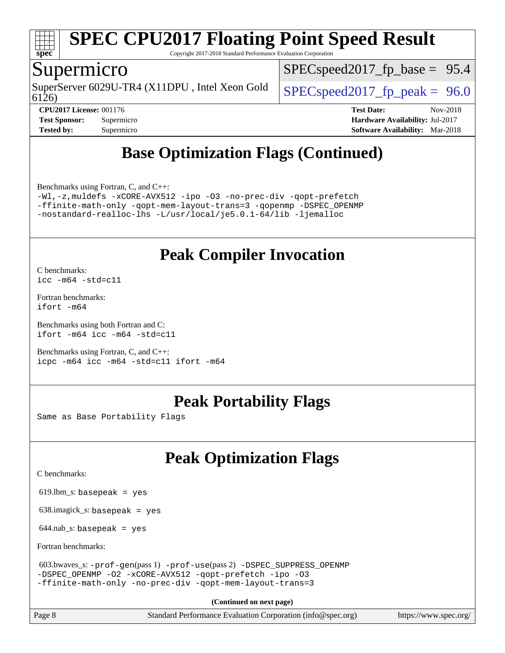

Copyright 2017-2018 Standard Performance Evaluation Corporation

### Supermicro

SuperServer 6029U-TR4 (X11DPU, Intel Xeon Gold  $\left|$  SPECspeed2017 fp\_peak = 96.0

 $SPECspeed2017_fp\_base = 95.4$ 

6126)

**[CPU2017 License:](http://www.spec.org/auto/cpu2017/Docs/result-fields.html#CPU2017License)** 001176 **[Test Date:](http://www.spec.org/auto/cpu2017/Docs/result-fields.html#TestDate)** Nov-2018 **[Test Sponsor:](http://www.spec.org/auto/cpu2017/Docs/result-fields.html#TestSponsor)** Supermicro **[Hardware Availability:](http://www.spec.org/auto/cpu2017/Docs/result-fields.html#HardwareAvailability)** Jul-2017 **[Tested by:](http://www.spec.org/auto/cpu2017/Docs/result-fields.html#Testedby)** Supermicro **[Software Availability:](http://www.spec.org/auto/cpu2017/Docs/result-fields.html#SoftwareAvailability)** Mar-2018

## **[Base Optimization Flags \(Continued\)](http://www.spec.org/auto/cpu2017/Docs/result-fields.html#BaseOptimizationFlags)**

[Benchmarks using Fortran, C, and C++:](http://www.spec.org/auto/cpu2017/Docs/result-fields.html#BenchmarksusingFortranCandCXX)

[-Wl,-z,muldefs](http://www.spec.org/cpu2017/results/res2018q4/cpu2017-20181127-09955.flags.html#user_CC_CXX_FCbase_link_force_multiple1_b4cbdb97b34bdee9ceefcfe54f4c8ea74255f0b02a4b23e853cdb0e18eb4525ac79b5a88067c842dd0ee6996c24547a27a4b99331201badda8798ef8a743f577) [-xCORE-AVX512](http://www.spec.org/cpu2017/results/res2018q4/cpu2017-20181127-09955.flags.html#user_CC_CXX_FCbase_f-xCORE-AVX512) [-ipo](http://www.spec.org/cpu2017/results/res2018q4/cpu2017-20181127-09955.flags.html#user_CC_CXX_FCbase_f-ipo) [-O3](http://www.spec.org/cpu2017/results/res2018q4/cpu2017-20181127-09955.flags.html#user_CC_CXX_FCbase_f-O3) [-no-prec-div](http://www.spec.org/cpu2017/results/res2018q4/cpu2017-20181127-09955.flags.html#user_CC_CXX_FCbase_f-no-prec-div) [-qopt-prefetch](http://www.spec.org/cpu2017/results/res2018q4/cpu2017-20181127-09955.flags.html#user_CC_CXX_FCbase_f-qopt-prefetch) [-ffinite-math-only](http://www.spec.org/cpu2017/results/res2018q4/cpu2017-20181127-09955.flags.html#user_CC_CXX_FCbase_f_finite_math_only_cb91587bd2077682c4b38af759c288ed7c732db004271a9512da14a4f8007909a5f1427ecbf1a0fb78ff2a814402c6114ac565ca162485bbcae155b5e4258871) [-qopt-mem-layout-trans=3](http://www.spec.org/cpu2017/results/res2018q4/cpu2017-20181127-09955.flags.html#user_CC_CXX_FCbase_f-qopt-mem-layout-trans_de80db37974c74b1f0e20d883f0b675c88c3b01e9d123adea9b28688d64333345fb62bc4a798493513fdb68f60282f9a726aa07f478b2f7113531aecce732043) [-qopenmp](http://www.spec.org/cpu2017/results/res2018q4/cpu2017-20181127-09955.flags.html#user_CC_CXX_FCbase_qopenmp_16be0c44f24f464004c6784a7acb94aca937f053568ce72f94b139a11c7c168634a55f6653758ddd83bcf7b8463e8028bb0b48b77bcddc6b78d5d95bb1df2967) [-DSPEC\\_OPENMP](http://www.spec.org/cpu2017/results/res2018q4/cpu2017-20181127-09955.flags.html#suite_CC_CXX_FCbase_DSPEC_OPENMP) [-nostandard-realloc-lhs](http://www.spec.org/cpu2017/results/res2018q4/cpu2017-20181127-09955.flags.html#user_CC_CXX_FCbase_f_2003_std_realloc_82b4557e90729c0f113870c07e44d33d6f5a304b4f63d4c15d2d0f1fab99f5daaed73bdb9275d9ae411527f28b936061aa8b9c8f2d63842963b95c9dd6426b8a) [-L/usr/local/je5.0.1-64/lib](http://www.spec.org/cpu2017/results/res2018q4/cpu2017-20181127-09955.flags.html#user_CC_CXX_FCbase_jemalloc_link_path64_4b10a636b7bce113509b17f3bd0d6226c5fb2346b9178c2d0232c14f04ab830f976640479e5c33dc2bcbbdad86ecfb6634cbbd4418746f06f368b512fced5394) [-ljemalloc](http://www.spec.org/cpu2017/results/res2018q4/cpu2017-20181127-09955.flags.html#user_CC_CXX_FCbase_jemalloc_link_lib_d1249b907c500fa1c0672f44f562e3d0f79738ae9e3c4a9c376d49f265a04b9c99b167ecedbf6711b3085be911c67ff61f150a17b3472be731631ba4d0471706)

## **[Peak Compiler Invocation](http://www.spec.org/auto/cpu2017/Docs/result-fields.html#PeakCompilerInvocation)**

[C benchmarks](http://www.spec.org/auto/cpu2017/Docs/result-fields.html#Cbenchmarks): [icc -m64 -std=c11](http://www.spec.org/cpu2017/results/res2018q4/cpu2017-20181127-09955.flags.html#user_CCpeak_intel_icc_64bit_c11_33ee0cdaae7deeeab2a9725423ba97205ce30f63b9926c2519791662299b76a0318f32ddfffdc46587804de3178b4f9328c46fa7c2b0cd779d7a61945c91cd35)

[Fortran benchmarks](http://www.spec.org/auto/cpu2017/Docs/result-fields.html#Fortranbenchmarks): [ifort -m64](http://www.spec.org/cpu2017/results/res2018q4/cpu2017-20181127-09955.flags.html#user_FCpeak_intel_ifort_64bit_24f2bb282fbaeffd6157abe4f878425411749daecae9a33200eee2bee2fe76f3b89351d69a8130dd5949958ce389cf37ff59a95e7a40d588e8d3a57e0c3fd751)

[Benchmarks using both Fortran and C](http://www.spec.org/auto/cpu2017/Docs/result-fields.html#BenchmarksusingbothFortranandC): [ifort -m64](http://www.spec.org/cpu2017/results/res2018q4/cpu2017-20181127-09955.flags.html#user_CC_FCpeak_intel_ifort_64bit_24f2bb282fbaeffd6157abe4f878425411749daecae9a33200eee2bee2fe76f3b89351d69a8130dd5949958ce389cf37ff59a95e7a40d588e8d3a57e0c3fd751) [icc -m64 -std=c11](http://www.spec.org/cpu2017/results/res2018q4/cpu2017-20181127-09955.flags.html#user_CC_FCpeak_intel_icc_64bit_c11_33ee0cdaae7deeeab2a9725423ba97205ce30f63b9926c2519791662299b76a0318f32ddfffdc46587804de3178b4f9328c46fa7c2b0cd779d7a61945c91cd35)

[Benchmarks using Fortran, C, and C++:](http://www.spec.org/auto/cpu2017/Docs/result-fields.html#BenchmarksusingFortranCandCXX) [icpc -m64](http://www.spec.org/cpu2017/results/res2018q4/cpu2017-20181127-09955.flags.html#user_CC_CXX_FCpeak_intel_icpc_64bit_4ecb2543ae3f1412ef961e0650ca070fec7b7afdcd6ed48761b84423119d1bf6bdf5cad15b44d48e7256388bc77273b966e5eb805aefd121eb22e9299b2ec9d9) [icc -m64 -std=c11](http://www.spec.org/cpu2017/results/res2018q4/cpu2017-20181127-09955.flags.html#user_CC_CXX_FCpeak_intel_icc_64bit_c11_33ee0cdaae7deeeab2a9725423ba97205ce30f63b9926c2519791662299b76a0318f32ddfffdc46587804de3178b4f9328c46fa7c2b0cd779d7a61945c91cd35) [ifort -m64](http://www.spec.org/cpu2017/results/res2018q4/cpu2017-20181127-09955.flags.html#user_CC_CXX_FCpeak_intel_ifort_64bit_24f2bb282fbaeffd6157abe4f878425411749daecae9a33200eee2bee2fe76f3b89351d69a8130dd5949958ce389cf37ff59a95e7a40d588e8d3a57e0c3fd751)

## **[Peak Portability Flags](http://www.spec.org/auto/cpu2017/Docs/result-fields.html#PeakPortabilityFlags)**

Same as Base Portability Flags

## **[Peak Optimization Flags](http://www.spec.org/auto/cpu2017/Docs/result-fields.html#PeakOptimizationFlags)**

[C benchmarks](http://www.spec.org/auto/cpu2017/Docs/result-fields.html#Cbenchmarks):

619.lbm\_s: basepeak = yes

638.imagick\_s: basepeak = yes

 $644$ .nab\_s: basepeak = yes

[Fortran benchmarks](http://www.spec.org/auto/cpu2017/Docs/result-fields.html#Fortranbenchmarks):

```
 603.bwaves_s: -prof-gen(pass 1) -prof-use(pass 2) -DSPEC_SUPPRESS_OPENMP
-DSPEC_OPENMP -O2 -xCORE-AVX512 -qopt-prefetch -ipo -O3
-ffinite-math-only -no-prec-div -qopt-mem-layout-trans=3
```
**(Continued on next page)**

Page 8 Standard Performance Evaluation Corporation [\(info@spec.org\)](mailto:info@spec.org) <https://www.spec.org/>